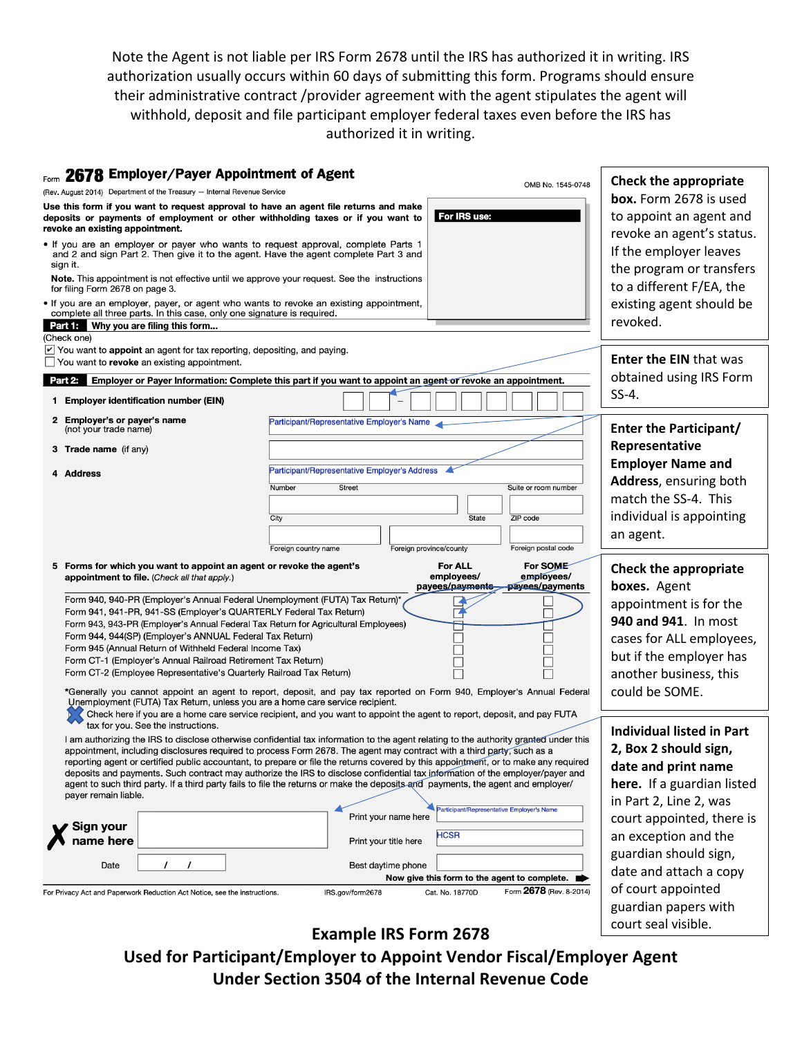Note the Agent is not liable per IRS Form 2678 until the IRS has authorized it in writing. IRS authorization usually occurs within 60 days of submitting this form. Programs should ensure their administrative contract /provider agreement with the agent stipulates the agent will withhold, deposit and file participant employer federal taxes even before the IRS has authorized it in writing.

| Form 2678 Employer/Payer Appointment of Agent                                                                                                                                                              | OMB No. 1545-0748                                                                                                                                                                                                                                             | Check the appropriate                       |  |
|------------------------------------------------------------------------------------------------------------------------------------------------------------------------------------------------------------|---------------------------------------------------------------------------------------------------------------------------------------------------------------------------------------------------------------------------------------------------------------|---------------------------------------------|--|
| (Rev. August 2014) Department of the Treasury - Internal Revenue Service                                                                                                                                   | box. Form 2678 is used                                                                                                                                                                                                                                        |                                             |  |
| Use this form if you want to request approval to have an agent file returns and make<br>deposits or payments of employment or other withholding taxes or if you want to<br>revoke an existing appointment. | to appoint an agent and<br>revoke an agent's status.                                                                                                                                                                                                          |                                             |  |
| • If you are an employer or payer who wants to request approval, complete Parts 1<br>and 2 and sign Part 2. Then give it to the agent. Have the agent complete Part 3 and<br>sign it.                      | If the employer leaves<br>the program or transfers                                                                                                                                                                                                            |                                             |  |
| <b>Note.</b> This appointment is not effective until we approve your request. See the instructions<br>for filing Form 2678 on page 3.                                                                      | to a different F/EA, the                                                                                                                                                                                                                                      |                                             |  |
| • If you are an employer, payer, or agent who wants to revoke an existing appointment,<br>complete all three parts. In this case, only one signature is required.                                          | existing agent should be<br>revoked.                                                                                                                                                                                                                          |                                             |  |
| <b>Part IF</b> Why you are filing this form<br>(Check one)                                                                                                                                                 |                                                                                                                                                                                                                                                               |                                             |  |
| You want to appoint an agent for tax reporting, depositing, and paying.<br>$\Box$ You want to revoke an existing appointment.                                                                              |                                                                                                                                                                                                                                                               | <b>Enter the EIN that was</b>               |  |
| Part 2: Employer or Payer Information: Complete this part if you want to appoint an agent or revoke an appointment.                                                                                        | obtained using IRS Form                                                                                                                                                                                                                                       |                                             |  |
| 1 Employer identification number (EIN)                                                                                                                                                                     |                                                                                                                                                                                                                                                               | $SS-4$ .                                    |  |
| 2 Employer's or payer's name<br>(not your trade name)                                                                                                                                                      | Participant/Representative Employer's Name                                                                                                                                                                                                                    | <b>Enter the Participant/</b>               |  |
| 3 Trade name (if any)                                                                                                                                                                                      |                                                                                                                                                                                                                                                               | Representative                              |  |
| 4 Address                                                                                                                                                                                                  | Participant/Representative Employer's Address                                                                                                                                                                                                                 | <b>Employer Name and</b>                    |  |
|                                                                                                                                                                                                            | <b>Street</b><br>Suite or room number<br>Number                                                                                                                                                                                                               | Address, ensuring both                      |  |
|                                                                                                                                                                                                            |                                                                                                                                                                                                                                                               | match the SS-4. This                        |  |
|                                                                                                                                                                                                            | ZIP code<br>City<br>State                                                                                                                                                                                                                                     | individual is appointing                    |  |
|                                                                                                                                                                                                            |                                                                                                                                                                                                                                                               | an agent.                                   |  |
|                                                                                                                                                                                                            | Foreign postal code<br>Foreign country name<br>Foreign province/county<br>5 Forms for which you want to appoint an agent or revoke the agent's<br>For ALL<br>For SOME                                                                                         |                                             |  |
|                                                                                                                                                                                                            |                                                                                                                                                                                                                                                               |                                             |  |
| appointment to file. (Check all that apply.)                                                                                                                                                               | employees/<br>employees/<br>payees/payments<br>payees/payments                                                                                                                                                                                                | Check the appropriate                       |  |
| Form 940, 940-PR (Employer's Annual Federal Unemployment (FUTA) Tax Return)*                                                                                                                               |                                                                                                                                                                                                                                                               | boxes. Agent                                |  |
| Form 941, 941-PR, 941-SS (Employer's QUARTERLY Federal Tax Return)                                                                                                                                         |                                                                                                                                                                                                                                                               | appointment is for the                      |  |
| Form 943, 943-PR (Employer's Annual Federal Tax Return for Agricultural Employees)<br>Form 944, 944(SP) (Employer's ANNUAL Federal Tax Return)                                                             |                                                                                                                                                                                                                                                               | 940 and 941. In most                        |  |
| Form 945 (Annual Return of Withheld Federal Income Tax)                                                                                                                                                    |                                                                                                                                                                                                                                                               | cases for ALL employees,                    |  |
| Form CT-1 (Employer's Annual Railroad Retirement Tax Return)                                                                                                                                               |                                                                                                                                                                                                                                                               | but if the employer has                     |  |
| Form CT-2 (Employee Representative's Quarterly Railroad Tax Return)                                                                                                                                        |                                                                                                                                                                                                                                                               | another business, this                      |  |
| Unemployment (FUTA) Tax Return, unless you are a home care service recipient.                                                                                                                              | *Generally you cannot appoint an agent to report, deposit, and pay tax reported on Form 940, Employer's Annual Federal                                                                                                                                        | could be SOME.                              |  |
| tax for you. See the instructions.                                                                                                                                                                         | Check here if you are a home care service recipient, and you want to appoint the agent to report, deposit, and pay FUTA                                                                                                                                       |                                             |  |
|                                                                                                                                                                                                            | I am authorizing the IRS to disclose otherwise confidential tax information to the agent relating to the authority granted under this                                                                                                                         | <b>Individual listed in Part</b>            |  |
|                                                                                                                                                                                                            | appointment, including disclosures required to process Form 2678. The agent may contract with a third party, such as a<br>reporting agent or certified public accountant, to prepare or file the returns covered by this appointment, or to make any required | 2, Box 2 should sign,                       |  |
|                                                                                                                                                                                                            | deposits and payments. Such contract may authorize the IRS to disclose confidential tax information of the employer/payer and                                                                                                                                 | date and print name                         |  |
| payer remain liable.                                                                                                                                                                                       | agent to such third party. If a third party fails to file the returns or make the deposits and payments, the agent and employer/                                                                                                                              | here. If a guardian listed                  |  |
|                                                                                                                                                                                                            | Participant/Representative Employer's Name                                                                                                                                                                                                                    | in Part 2, Line 2, was                      |  |
| Sign your                                                                                                                                                                                                  | Print your name here                                                                                                                                                                                                                                          | court appointed, there is                   |  |
| name here                                                                                                                                                                                                  | <b>HCSR</b><br>Print your title here                                                                                                                                                                                                                          | an exception and the                        |  |
| $\prime$<br>$\prime$                                                                                                                                                                                       |                                                                                                                                                                                                                                                               | guardian should sign,                       |  |
| Date                                                                                                                                                                                                       | Best daytime phone<br>Now give this form to the agent to complete.                                                                                                                                                                                            | date and attach a copy                      |  |
| For Privacy Act and Paperwork Reduction Act Notice, see the instructions.                                                                                                                                  | Form 2678 (Rev. 8-2014)<br>Cat. No. 18770D<br>IRS.gov/form2678                                                                                                                                                                                                | of court appointed                          |  |
|                                                                                                                                                                                                            |                                                                                                                                                                                                                                                               | guardian papers with<br>court seal visible. |  |

**Example IRS Form 2678**

**Used for Participant/Employer to Appoint Vendor Fiscal/Employer Agent Under Section 3504 of the Internal Revenue Code**